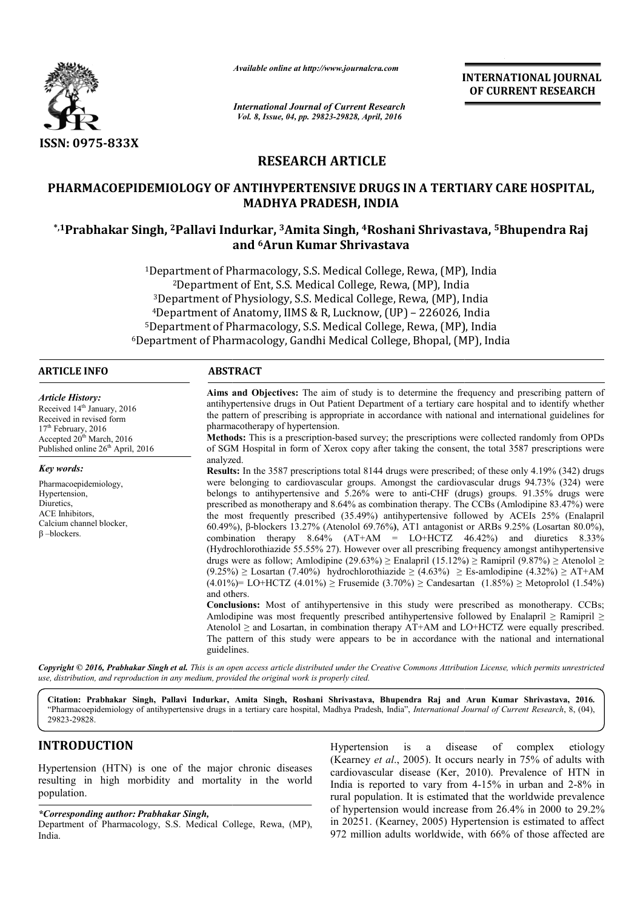

*Available online at http://www.journalcra.com*

*International Journal of Current Research Vol. 8, Issue, 04, pp. 29823-29828, April, 2016*

**INTERNATIONAL JOURNAL OF CURRENT RESEARCH** 

# **RESEARCH ARTICLE**

# PHARMACOEPIDEMIOLOGY OF ANTIHYPERTENSIVE DRUGS IN A TERTIARY CARE HOSPITAL, **MADHYA PRADESH, INDIA**

# **\*,1Prabhakar Singh, 2Pallavi Indurkar, Pallavi 3Amita Singh, 4Roshani Shrivastava, Roshani Shrivastava, 5Bhupendra Raj and 6Arun Kumar Shrivastava**

1Department of Pharmacology, S.S. Medical College, Rewa, (MP), India 2Department of Ent, S.S. Medical College, Rewa, (MP), India Department of Pharmacology, S.S. Medical College, Rewa, (MP), India<br><sup>2</sup>Department of Ent, S.S. Medical College, Rewa, (MP), India<br><sup>3</sup>Department of Physiology, S.S. Medical College, Rewa, (MP), India 4Department of Anatomy, IIMS & R, Lucknow, (UP) - 226026, India 5Department of Pharmacology, S.S. Medical College, Rewa, (MP), India 6Department of Pharmacology, Gandhi Medical College, Bhopal, (MP), India <sup>5</sup>Department of Pharmacology, S.S.<br>Department of Pharmacology, Gandh e, Rewa, (MP), India<br>llege, Rewa, (MP), India<br>w, (UP) – 226026, India<br>ollege, Rewa, (MP), Ind<br>College, Bhopal, (MP), I

## **ARTICLE INFO ABSTRACT**

*Article History:* Received 14<sup>th</sup> January, 2016 Received in revised form 17<sup>th</sup> February, 2016 Accepted 20<sup>th</sup> March, 2016 Published online 26<sup>th</sup> April, 2016

*Key words:*

β –blockers.

Pharmacoepidemiology, Hypertension, Diuretics, ACE Inhibitors Calcium channel blocker,

Aims and Objectives: The aim of study is to determine the frequency and prescribing pattern of antihypertensive drugs in Out Patient Department of a tertiary care hospital and to identify whether Aims and Objectives: The aim of study is to determine the frequency and prescribing pattern of antihypertensive drugs in Out Patient Department of a tertiary care hospital and to identify whether the pattern of prescribing pharmacotherapy of hypertension.

**Methods:**  This is a prescription-based survey; the prescriptions were collected randomly from OPDs of SGM Hospital in form of Xerox copy after taking the consent, the total 3587 prescriptions were analyzed.

**Results:**  In the 3587 prescriptions total 8144 drugs were prescribed; of these only 4.19% (342) drugs were belonging to cardiovascular groups. Amongst the cardiovascular drugs 94.73% (324) were belongs to antihypertensive and 5.26% were to anti-CHF (drugs) groups. 91.35% drugs were prescribed as monotherapy and 8.64% as combination therapy. The CCBs (Amlodipine 83.47%) were the most frequently prescribed (35.49%) antihypertensive followed by ACEIs 25% (Enalapril 60.49%), β β-blockers 13.27% (Atenolol 69.76%**)**, AT1 antagonist or ARBs 9.25% (Losartan 80.0%), combination therapy  $8.64\%$  (AT+AM = LO+HCTZ  $46.42\%$ ) and diuretics  $8.33\%$ (Hydrochlorothiazide 55.55% 27). However over all prescribing frequency amongst antihypertensive drugs were as follow; Amlodipine (29.63%) ≥ Enalapril (15.12%) ≥ Ramipril (9.87%) ≥ Atenolol ≥  $(9.25\%) \geq$  Losartan  $(7.40\%)$  hydrochlorothiazide  $\geq (4.63\%) \geq$  Es (4.01%)= LO+HCTZ (4.01%) ≥ Frusemide (3.70%) ≥ Candesartan (1.85%) ≥ Metoprolol (1.54%) and others. **Conclusions:**  Most of antihypertensive in this study were prescribed as monotherapy. CCBs; (4.01%)= LO+HCTZ (4.01%) ≥ Frusemide (3.70%) ≥ Candesartan (1.85%) ≥ Metoprolol (1.54%) and others.<br> **Conclusions:** Most of antihypertensive in this study were prescribed as monotherapy. CCBs;<br>
Amlodipine was most freque **Methods:** This is a prescription-based survey; the prescriptions were collected randomly from OPDs<br>of SGM Hospital in form of Xerox copy after taking the consent, the total 3587 prescriptions were<br>analyzed.<br>**Results:** In **INTERNATIONAL JOURNAL**<br> **OF CURRENT RESEARCH**<br> **CONDIGINE (SEET AND ALTAIT AND ASSEMBLE TRAME ASSEMBLE TRAME HOSPITAL, astava, 5 Bhupendra Raj<br>
(P), India<br>
(dia (6, India<br>
(MP), India<br>
(MP), India<br>
e frequency and prescr** 

Atenolol  $\geq$  and Losartan, in combination therapy AT+AM and LO+HCTZ were equally prescribed. The pattern of this study were appears to be in accordance with the national and international guidelines.

*Copyright © 2016, Prabhakar Singh et al. This is an open access article distributed under the Creative Commons Att Attribution License, which ribution permits unrestricted use, distribution, and reproduction in any medium, provided the original work is properly cited.*

**Citation: Prabhakar Singh, Pallavi Indurkar, Amita Singh, Roshani Shrivastava, Bhupendra Raj and Arun Kumar Shrivastava and Shrivastava, 2016.** "Pharmacoepidemiology of antihypertensive drugs in a tertiary care hospital, Madhya Pradesh, India", *International Journal of Current Research*, 8, (04), 29823-29828.

# **INTRODUCTION**

Hypertension (HTN) is one of the major chronic diseases resulting in high morbidity and mortality in the world population.

## *\*Corresponding author: Prabhakar Singh,*

Department of Pharmacology, S.S. Medical College, Rewa, (MP), India.

Hypertension is a disease of complex etiology (Kearney *et al*., 2005). It occurs nearly in 75% of adults with Hypertension is a disease of complex etiology (Kearney *et al.*, 2005). It occurs nearly in 75% of adults with cardiovascular disease (Ker, 2010). Prevalence of HTN in India is reported to vary from  $4-15%$  in urban and  $2-8%$  in rural population. It is estimated that the worldwide prevalence of hypertension would increase from 26.4% in 2000 to 29.2% in 20251. (Kearney, 2005) Hypertension is estimated to affect 972 million adults worldwide, with 66% of those affected are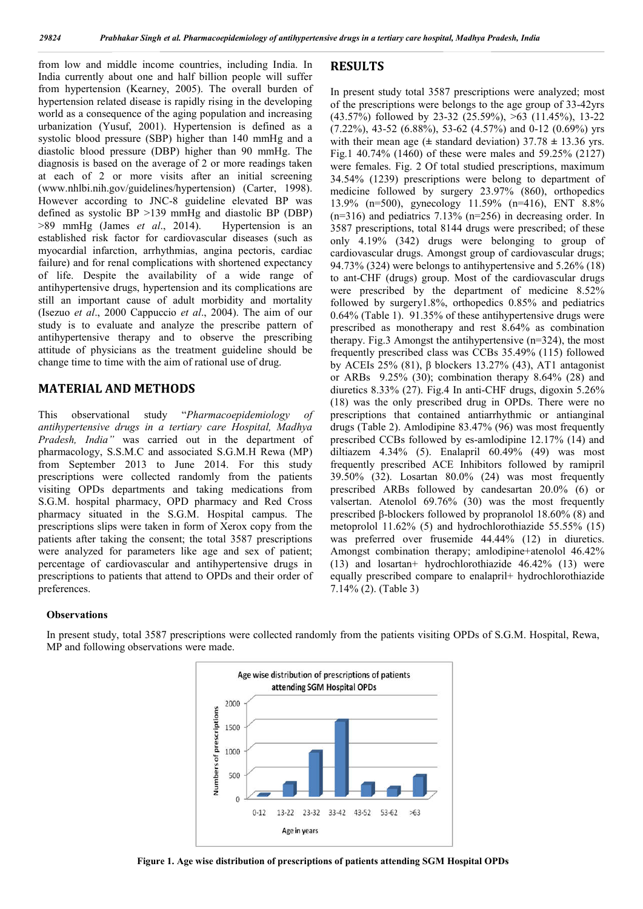from low and middle income countries, including India. In India currently about one and half billion people will suffer from hypertension (Kearney, 2005). The overall burden of hypertension related disease is rapidly rising in the developing world as a consequence of the aging population and increasing urbanization (Yusuf, 2001). Hypertension is defined as a systolic blood pressure (SBP) higher than 140 mmHg and a diastolic blood pressure (DBP) higher than 90 mmHg. The diagnosis is based on the average of 2 or more readings taken at each of 2 or more visits after an initial screening (www.nhlbi.nih.gov/guidelines/hypertension) (Carter, 1998). However according to JNC-8 guideline elevated BP was defined as systolic BP >139 mmHg and diastolic BP (DBP) >89 mmHg (James *et al*., 2014). Hypertension is an established risk factor for cardiovascular diseases (such as myocardial infarction, arrhythmias, angina pectoris, cardiac failure) and for renal complications with shortened expectancy of life. Despite the availability of a wide range of antihypertensive drugs, hypertension and its complications are still an important cause of adult morbidity and mortality (Isezuo *et al*., 2000 Cappuccio *et al*., 2004). The aim of our study is to evaluate and analyze the prescribe pattern of antihypertensive therapy and to observe the prescribing attitude of physicians as the treatment guideline should be change time to time with the aim of rational use of drug.

## **MATERIAL AND METHODS**

This observational study "*Pharmacoepidemiology of antihypertensive drugs in a tertiary care Hospital, Madhya Pradesh, India"* was carried out in the department of pharmacology, S.S.M.C and associated S.G.M.H Rewa (MP) from September 2013 to June 2014. For this study prescriptions were collected randomly from the patients visiting OPDs departments and taking medications from S.G.M. hospital pharmacy, OPD pharmacy and Red Cross pharmacy situated in the S.G.M. Hospital campus. The prescriptions slips were taken in form of Xerox copy from the patients after taking the consent; the total 3587 prescriptions were analyzed for parameters like age and sex of patient; percentage of cardiovascular and antihypertensive drugs in prescriptions to patients that attend to OPDs and their order of preferences.

# **RESULTS**

In present study total 3587 prescriptions were analyzed; most of the prescriptions were belongs to the age group of 33-42yrs (43.57%) followed by 23-32 (25.59%), >63 (11.45%), 13-22  $(7.22\%)$ , 43-52  $(6.88\%)$ , 53-62  $(4.57\%)$  and 0-12  $(0.69\%)$  yrs with their mean age  $(\pm$  standard deviation)  $37.78 \pm 13.36$  yrs. Fig.1 40.74% (1460) of these were males and 59.25% (2127) were females. Fig. 2 Of total studied prescriptions, maximum 34.54% (1239) prescriptions were belong to department of medicine followed by surgery 23.97% (860), orthopedics 13.9% (n=500), gynecology 11.59% (n=416), ENT 8.8% (n=316) and pediatrics 7.13% (n=256) in decreasing order. In 3587 prescriptions, total 8144 drugs were prescribed; of these only 4.19% (342) drugs were belonging to group of cardiovascular drugs. Amongst group of cardiovascular drugs; 94.73% (324) were belongs to antihypertensive and 5.26% (18) to ant-CHF (drugs) group. Most of the cardiovascular drugs were prescribed by the department of medicine 8.52% followed by surgery1.8%, orthopedics 0.85% and pediatrics 0.64% (Table 1). 91.35% of these antihypertensive drugs were prescribed as monotherapy and rest 8.64% as combination therapy. Fig.3 Amongst the antihypertensive (n=324), the most frequently prescribed class was CCBs 35.49% (115) followed by ACEIs 25% (81), β blockers 13.27% (43), AT1 antagonist or ARBs  $9.25\%$  (30); combination therapy 8.64% (28) and diuretics 8.33% (27). Fig.4 In anti-CHF drugs, digoxin 5.26% (18) was the only prescribed drug in OPDs. There were no prescriptions that contained antiarrhythmic or antianginal drugs (Table 2). Amlodipine 83.47% (96) was most frequently prescribed CCBs followed by es-amlodipine 12.17% (14) and diltiazem 4.34% (5). Enalapril 60.49% (49) was most frequently prescribed ACE Inhibitors followed by ramipril 39.50% (32). Losartan 80.0% (24) was most frequently prescribed ARBs followed by candesartan 20.0% (6) or valsertan. Atenolol 69.76% (30) was the most frequently prescribed β-blockers followed by propranolol 18.60% (8) and metoprolol 11.62% (5) and hydrochlorothiazide 55.55% (15) was preferred over frusemide 44.44% (12) in diuretics. Amongst combination therapy; amlodipine+atenolol 46.42% (13) and losartan+ hydrochlorothiazide 46.42% (13) were equally prescribed compare to enalapril+ hydrochlorothiazide 7.14% (2). (Table 3)

#### **Observations**

In present study, total 3587 prescriptions were collected randomly from the patients visiting OPDs of S.G.M. Hospital, Rewa, MP and following observations were made.



**Figure 1. Age wise distribution of prescriptions of patients attending SGM Hospital OPDs**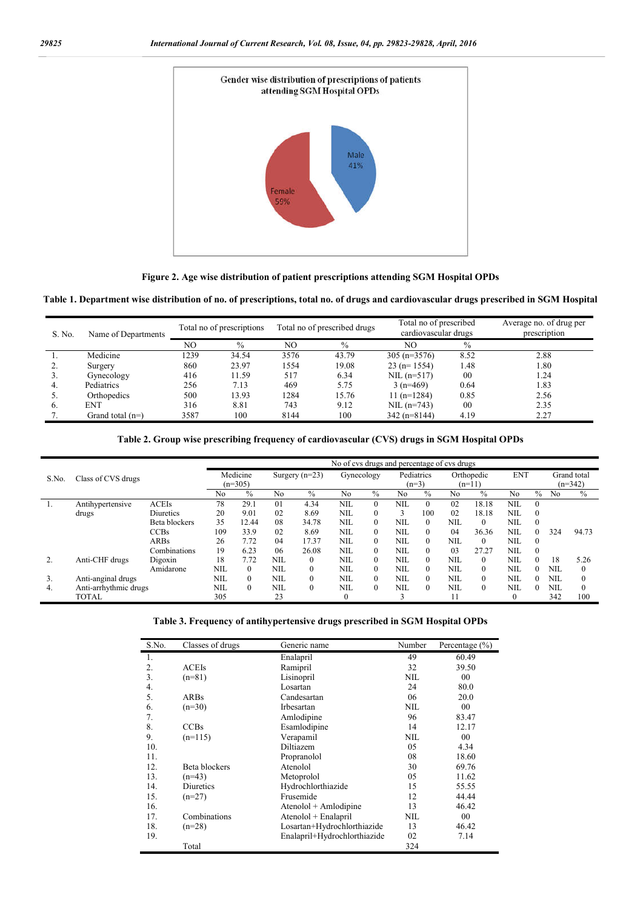

**Figure 2. Age wise distribution of patient prescriptions attending SGM Hospital OPDs**

**Table 1. Department wise distribution of no. of prescriptions, total no. of drugs and cardiovascular drugs prescribed in SGM Hospital**

| S. No. | Name of Departments | Total no of prescriptions |               |      | Total no of prescribed drugs | Total no of prescribed<br>cardiovascular drugs |               | Average no. of drug per<br>prescription |  |  |
|--------|---------------------|---------------------------|---------------|------|------------------------------|------------------------------------------------|---------------|-----------------------------------------|--|--|
|        |                     | NO                        | $\frac{0}{0}$ | NO   | $\frac{0}{0}$                | NO                                             | $\frac{0}{0}$ |                                         |  |  |
|        | Medicine            | 1239                      | 34.54         | 3576 | 43.79                        | $305 (n=3576)$                                 | 8.52          | 2.88                                    |  |  |
|        | Surgery             | 860                       | 23.97         | 1554 | 19.08                        | $23$ (n= 1554)                                 | 1.48          | 1.80                                    |  |  |
|        | Gynecology          | 416                       | 11.59         | 517  | 6.34                         | $NIL (n=517)$                                  | 00            | 1.24                                    |  |  |
| 4.     | Pediatrics          | 256                       | 7.13          | 469  | 5.75                         | $3(n=469)$                                     | 0.64          | 1.83                                    |  |  |
|        | Orthopedics         | 500                       | 13.93         | 1284 | 15.76                        | $11(n=1284)$                                   | 0.85          | 2.56                                    |  |  |
| 6.     | <b>ENT</b>          | 316                       | 8.81          | 743  | 9.12                         | $NIL (n=743)$                                  | 00            | 2.35                                    |  |  |
|        | Grand total $(n=)$  | 3587                      | 100           | 8144 | 100                          | $342(n=8144)$                                  | 4.19          | 2.27                                    |  |  |

**Table 2. Group wise prescribing frequency of cardiovascular (CVS) drugs in SGM Hospital OPDs**

|       |                       |               | No of cys drugs and percentage of cys drugs |               |            |                  |              |          |            |          |            |            |            |          |     |             |
|-------|-----------------------|---------------|---------------------------------------------|---------------|------------|------------------|--------------|----------|------------|----------|------------|------------|------------|----------|-----|-------------|
| S.No. | Class of CVS drugs    |               |                                             | Medicine      |            | Surgery $(n=23)$ | Gynecology   |          | Pediatrics |          |            | Orthopedic | <b>ENT</b> |          |     | Grand total |
|       |                       |               | $(n=305)$                                   |               |            |                  |              | $(n=3)$  | $(n=11)$   |          |            |            | $(n=342)$  |          |     |             |
|       |                       |               | No                                          | $\frac{0}{0}$ | No         | $\%$             | No           | $\%$     | No         | $\%$     | No         | $\%$       | No         | $\%$     | No  | $\%$        |
|       | Antihypertensive      | <b>ACEIs</b>  | 78                                          | 29.1          | 01         | 4.34             | NIL          | $\Omega$ | NIL        | $\Omega$ | 02         | 18.18      | NIL        | $\theta$ |     |             |
|       | drugs                 | Diuretics     | 20                                          | 9.01          | 02         | 8.69             | <b>NIL</b>   |          | 3          | 100      | 02         | 18.18      | NIL        | $\theta$ |     |             |
|       |                       | Beta blockers | 35                                          | 12.44         | 08         | 34.78            | <b>NIL</b>   |          | NIL        | $\Omega$ | NIL        | $\theta$   | NIL        | $\theta$ |     |             |
|       |                       | <b>CCBs</b>   | 109                                         | 33.9          | 02         | 8.69             | NIL          | $\Omega$ | NIL.       | 0        | 04         | 36.36      | NIL        | 0        | 324 | 94.73       |
|       |                       | <b>ARBs</b>   | 26                                          | 7.72          | 04         | 17.37            | <b>NIL</b>   |          | NIL        | 0        | NIL        | $\theta$   | NIL        | $\theta$ |     |             |
|       |                       | Combinations  | 19                                          | 6.23          | 06         | 26.08            | NIL          | $\Omega$ | NIL        | $\Omega$ | 03         | 27.27      | NIL        | $\theta$ |     |             |
|       | Anti-CHF drugs        | Digoxin       | 18                                          | 7.72          | <b>NIL</b> | $\theta$         | NIL          | $\Omega$ | NIL        | $\Omega$ | NIL        | $\theta$   | NIL        | 0        | 18  | 5.26        |
|       |                       | Amidarone     | NIL                                         | $\theta$      | <b>NIL</b> | $\theta$         | <b>NIL</b>   |          | NIL        | 0        | <b>NIL</b> | $\theta$   | <b>NIL</b> | 0        | NIL |             |
| 3.    | Anti-anginal drugs    |               | NIL                                         | $\Omega$      | <b>NIL</b> | $\boldsymbol{0}$ | NIL          | $\Omega$ | NIL.       | 0        | <b>NIL</b> | $\theta$   | NIL        | 0        | NIL |             |
| 4.    | Anti-arrhythmic drugs |               | NIL                                         | $\Omega$      | <b>NIL</b> | $\theta$         | <b>NIL</b>   | $\Omega$ | NIL        | $\Omega$ | NIL        | $\theta$   | NIL        | 0        | NIL |             |
|       | <b>TOTAL</b>          |               | 305                                         |               | 23         |                  | $\mathbf{0}$ |          |            |          |            |            | 0          |          | 342 | 100         |

| S.No. | Classes of drugs | Generic name                 | Number     | Percentage (%) |
|-------|------------------|------------------------------|------------|----------------|
| 1.    |                  | Enalapril                    | 49         | 60.49          |
| 2.    | <b>ACEIs</b>     | Ramipril                     | 32         | 39.50          |
| 3.    | $(n=81)$         | Lisinopril                   | <b>NIL</b> | 00             |
| 4.    |                  | Losartan                     | 24         | 80.0           |
| 5.    | ARBs             | Candesartan                  | 06         | 20.0           |
| 6.    | $(n=30)$         | Irbesartan                   | <b>NIL</b> | 00             |
| 7.    |                  | Amlodipine                   | 96         | 83.47          |
| 8.    | <b>CCBs</b>      | Esamlodipine                 | 14         | 12.17          |
| 9.    | $(n=115)$        | Verapamil                    | <b>NIL</b> | 00             |
| 10.   |                  | Diltiazem                    | 05         | 4.34           |
| 11.   |                  | Propranolol                  | 08         | 18.60          |
| 12.   | Beta blockers    | Atenolol                     | 30         | 69.76          |
| 13.   | $(n=43)$         | Metoprolol                   | 05         | 11.62          |
| 14.   | Diuretics        | Hydrochlorthiazide           | 15         | 55.55          |
| 15.   | $(n=27)$         | Frusemide                    | 12         | 44.44          |
| 16.   |                  | Atenolol + Amlodipine        | 13         | 46.42          |
| 17.   | Combinations     | Atenolol + Enalapril         | <b>NIL</b> | 00             |
| 18.   | $(n=28)$         | Losartan+Hydrochlorthiazide  | 13         | 46.42          |
| 19.   |                  | Enalapril+Hydrochlorthiazide | 02         | 7.14           |
|       | Total            |                              | 324        |                |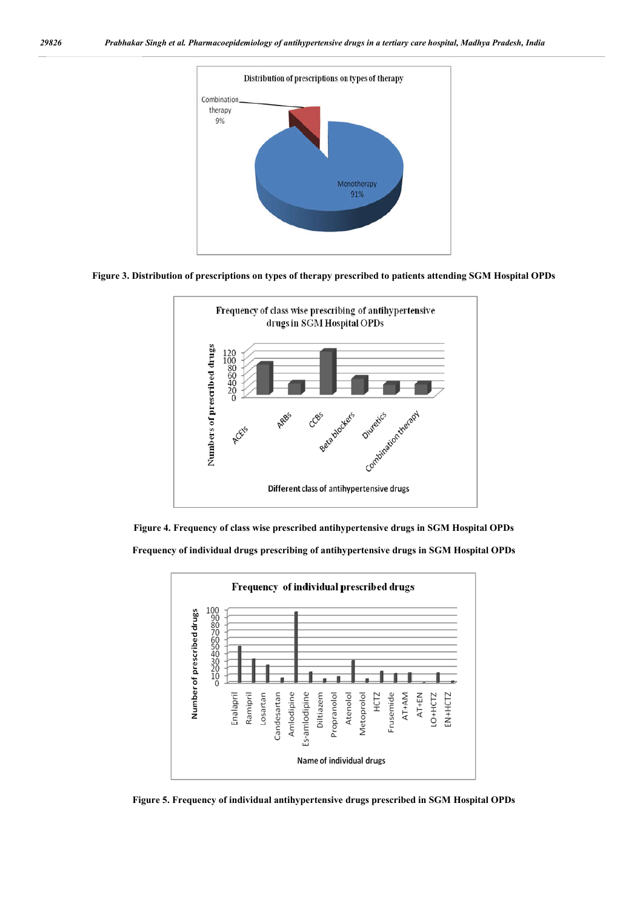

**Figure 3. Distribution of prescriptions on types of therapy prescribed to patients attending SGM Hospital OPDs**



**Figure 4. Frequency of class wise prescribed antihypertensive drugs in SGM Hospital OPDs Frequency of individual drugs prescribing of antihypertensive drugs in SGM Hospital OPDs**



**Figure 5. Frequency of individual antihypertensive drugs prescribed in SGM Hospital OPDs**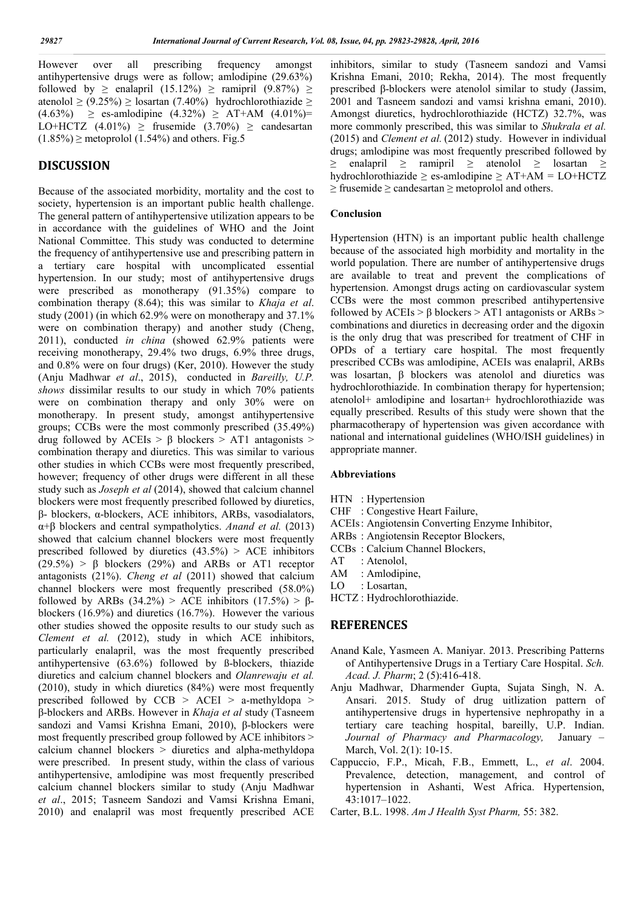However over all prescribing frequency amongst antihypertensive drugs were as follow; amlodipine (29.63%) followed by  $\geq$  enalapril (15.12%)  $\geq$  ramipril (9.87%)  $\geq$ atenolol ≥ (9.25%) ≥ losartan (7.40%) hydrochlorothiazide ≥  $(4.63\%)$  ≥ es-amlodipine  $(4.32\%)$  ≥ AT+AM  $(4.01\%)$ = LO+HCTZ  $(4.01\%) \geq$  frusemide  $(3.70\%) \geq$  candesartan  $(1.85\%) \ge$  metoprolol  $(1.54\%)$  and others. Fig. 5

# **DISCUSSION**

Because of the associated morbidity, mortality and the cost to society, hypertension is an important public health challenge. The general pattern of antihypertensive utilization appears to be in accordance with the guidelines of WHO and the Joint National Committee. This study was conducted to determine the frequency of antihypertensive use and prescribing pattern in a tertiary care hospital with uncomplicated essential hypertension. In our study; most of antihypertensive drugs were prescribed as monotherapy (91.35%) compare to combination therapy (8.64); this was similar to *Khaja et al*. study (2001) (in which 62.9% were on monotherapy and 37.1% were on combination therapy) and another study (Cheng, 2011), conducted *in china* (showed 62.9% patients were receiving monotherapy, 29.4% two drugs, 6.9% three drugs, and 0.8% were on four drugs) (Ker, 2010). However the study (Anju Madhwar *et al*., 2015), conducted in *Bareilly, U.P. shows* dissimilar results to our study in which 70% patients were on combination therapy and only 30% were on monotherapy. In present study, amongst antihypertensive groups; CCBs were the most commonly prescribed (35.49%) drug followed by ACEIs > β blockers > AT1 antagonists > combination therapy and diuretics. This was similar to various other studies in which CCBs were most frequently prescribed, however; frequency of other drugs were different in all these study such as *Joseph et al* (2014), showed that calcium channel blockers were most frequently prescribed followed by diuretics, β- blockers, α-blockers, ACE inhibitors, ARBs, vasodialators, α+β blockers and central sympatholytics. *Anand et al.* (2013) showed that calcium channel blockers were most frequently prescribed followed by diuretics  $(43.5\%) > ACE$  inhibitors  $(29.5\%)$  > β blockers  $(29\%)$  and ARBs or AT1 receptor antagonists (21%). *Cheng et al* (2011) showed that calcium channel blockers were most frequently prescribed (58.0%) followed by ARBs (34.2%) > ACE inhibitors (17.5%) > βblockers (16.9%) and diuretics (16.7%). However the various other studies showed the opposite results to our study such as *Clement et al.* (2012), study in which ACE inhibitors, particularly enalapril, was the most frequently prescribed antihypertensive (63.6%) followed by ß-blockers, thiazide diuretics and calcium channel blockers and *Olanrewaju et al.* (2010), study in which diuretics (84%) were most frequently prescribed followed by  $CCB > ACEI > a-methyldopa >$ β-blockers and ARBs. However in *Khaja et al* study (Tasneem sandozi and Vamsi Krishna Emani, 2010), β-blockers were most frequently prescribed group followed by ACE inhibitors > calcium channel blockers > diuretics and alpha-methyldopa were prescribed. In present study, within the class of various antihypertensive, amlodipine was most frequently prescribed calcium channel blockers similar to study (Anju Madhwar *et al*., 2015; Tasneem Sandozi and Vamsi Krishna Emani, 2010) and enalapril was most frequently prescribed ACE

inhibitors, similar to study (Tasneem sandozi and Vamsi Krishna Emani, 2010; Rekha, 2014). The most frequently prescribed β-blockers were atenolol similar to study (Jassim, 2001 and Tasneem sandozi and vamsi krishna emani, 2010). Amongst diuretics, hydrochlorothiazide (HCTZ) 32.7%, was more commonly prescribed, this was similar to *Shukrala et al.* (2015) and *Clement et al.* (2012) study. However in individual drugs; amlodipine was most frequently prescribed followed by ≥ enalapril ≥ ramipril ≥ atenolol ≥ losartan ≥ hydrochlorothiazide  $\geq$  es-amlodipine  $\geq$  AT+AM = LO+HCTZ  $\ge$  frusemide  $\ge$  candesartan  $\ge$  metoprolol and others.

## **Conclusion**

Hypertension (HTN) is an important public health challenge because of the associated high morbidity and mortality in the world population. There are number of antihypertensive drugs are available to treat and prevent the complications of hypertension. Amongst drugs acting on cardiovascular system CCBs were the most common prescribed antihypertensive followed by ACEIs > β blockers > AT1 antagonists or ARBs > combinations and diuretics in decreasing order and the digoxin is the only drug that was prescribed for treatment of CHF in OPDs of a tertiary care hospital. The most frequently prescribed CCBs was amlodipine, ACEIs was enalapril, ARBs was losartan, β blockers was atenolol and diuretics was hydrochlorothiazide. In combination therapy for hypertension; atenolol+ amlodipine and losartan+ hydrochlorothiazide was equally prescribed. Results of this study were shown that the pharmacotherapy of hypertension was given accordance with national and international guidelines (WHO/ISH guidelines) in appropriate manner.

#### **Abbreviations**

- HTN : Hypertension
- CHF : Congestive Heart Failure,
- ACEIs: Angiotensin Converting Enzyme Inhibitor,
- ARBs : Angiotensin Receptor Blockers,
- CCBs : Calcium Channel Blockers,
- AT : Atenolol.
- AM : Amlodipine,
- LO : Losartan,
- HCTZ : Hydrochlorothiazide.

## **REFERENCES**

- Anand Kale, Yasmeen A. Maniyar. 2013. Prescribing Patterns of Antihypertensive Drugs in a Tertiary Care Hospital. *Sch. Acad. J. Pharm*; 2 (5):416-418.
- Anju Madhwar, Dharmender Gupta, Sujata Singh, N. A. Ansari. 2015. Study of drug uitlization pattern of antihypertensive drugs in hypertensive nephropathy in a tertiary care teaching hospital, bareilly, U.P. Indian. *Journal of Pharmacy and Pharmacology,* January – March, Vol. 2(1): 10-15.
- Cappuccio, F.P., Micah, F.B., Emmett, L., *et al*. 2004. Prevalence, detection, management, and control of hypertension in Ashanti, West Africa. Hypertension, 43:1017–1022.
- Carter, B.L. 1998. *Am J Health Syst Pharm,* 55: 382.